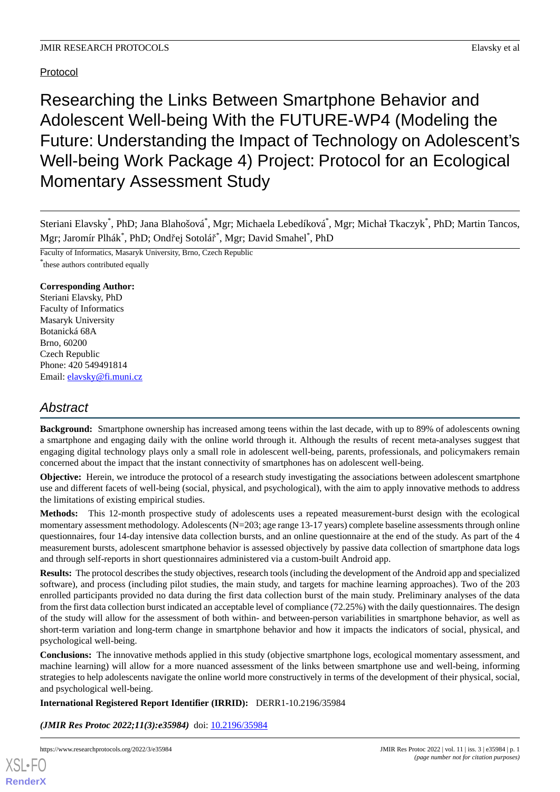## Protocol

Researching the Links Between Smartphone Behavior and Adolescent Well-being With the FUTURE-WP4 (Modeling the Future: Understanding the Impact of Technology on Adolescent's Well-being Work Package 4) Project: Protocol for an Ecological Momentary Assessment Study

Steriani Elavsky<sup>\*</sup>, PhD; Jana Blahošová<sup>\*</sup>, Mgr; Michaela Lebedíková<sup>\*</sup>, Mgr; Michał Tkaczyk<sup>\*</sup>, PhD; Martin Tancos, Mgr; Jaromír Plhák<sup>\*</sup>, PhD; Ondřej Sotolář<sup>\*</sup>, Mgr; David Smahel<sup>\*</sup>, PhD

Faculty of Informatics, Masaryk University, Brno, Czech Republic \* these authors contributed equally

## **Corresponding Author:**

Steriani Elavsky, PhD Faculty of Informatics Masaryk University Botanická 68A Brno, 60200 Czech Republic Phone: 420 549491814 Email: [elavsky@fi.muni.cz](mailto:elavsky@fi.muni.cz)

# *Abstract*

**Background:** Smartphone ownership has increased among teens within the last decade, with up to 89% of adolescents owning a smartphone and engaging daily with the online world through it. Although the results of recent meta-analyses suggest that engaging digital technology plays only a small role in adolescent well-being, parents, professionals, and policymakers remain concerned about the impact that the instant connectivity of smartphones has on adolescent well-being.

**Objective:** Herein, we introduce the protocol of a research study investigating the associations between adolescent smartphone use and different facets of well-being (social, physical, and psychological), with the aim to apply innovative methods to address the limitations of existing empirical studies.

**Methods:** This 12-month prospective study of adolescents uses a repeated measurement-burst design with the ecological momentary assessment methodology. Adolescents (N=203; age range 13-17 years) complete baseline assessments through online questionnaires, four 14-day intensive data collection bursts, and an online questionnaire at the end of the study. As part of the 4 measurement bursts, adolescent smartphone behavior is assessed objectively by passive data collection of smartphone data logs and through self-reports in short questionnaires administered via a custom-built Android app.

**Results:** The protocol describes the study objectives, research tools (including the development of the Android app and specialized software), and process (including pilot studies, the main study, and targets for machine learning approaches). Two of the 203 enrolled participants provided no data during the first data collection burst of the main study. Preliminary analyses of the data from the first data collection burst indicated an acceptable level of compliance (72.25%) with the daily questionnaires. The design of the study will allow for the assessment of both within- and between-person variabilities in smartphone behavior, as well as short-term variation and long-term change in smartphone behavior and how it impacts the indicators of social, physical, and psychological well-being.

**Conclusions:** The innovative methods applied in this study (objective smartphone logs, ecological momentary assessment, and machine learning) will allow for a more nuanced assessment of the links between smartphone use and well-being, informing strategies to help adolescents navigate the online world more constructively in terms of the development of their physical, social, and psychological well-being.

**International Registered Report Identifier (IRRID):** DERR1-10.2196/35984

(JMIR Res Protoc 2022;11(3):e35984) doi: [10.2196/35984](http://dx.doi.org/10.2196/35984)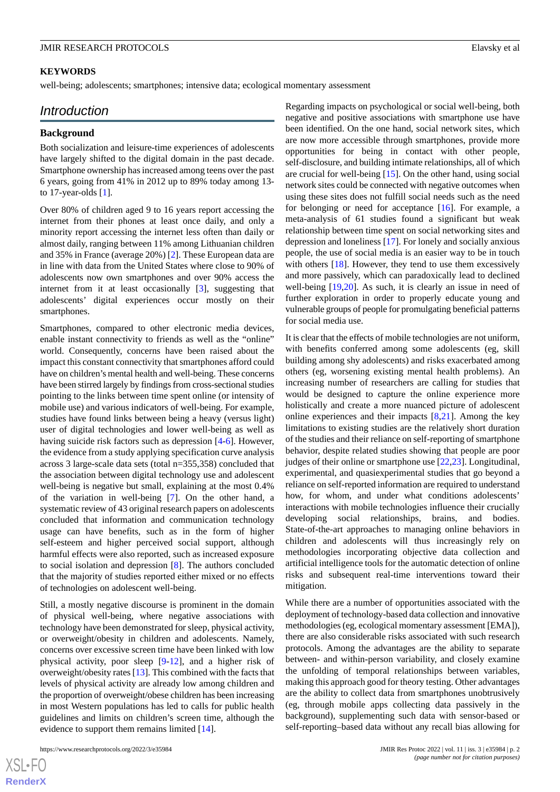## **KEYWORDS**

well-being; adolescents; smartphones; intensive data; ecological momentary assessment

## *Introduction*

## **Background**

Both socialization and leisure-time experiences of adolescents have largely shifted to the digital domain in the past decade. Smartphone ownership has increased among teens over the past 6 years, going from 41% in 2012 up to 89% today among 13 to 17-year-olds [[1\]](#page-8-0).

Over 80% of children aged 9 to 16 years report accessing the internet from their phones at least once daily, and only a minority report accessing the internet less often than daily or almost daily, ranging between 11% among Lithuanian children and 35% in France (average 20%) [[2\]](#page-8-1). These European data are in line with data from the United States where close to 90% of adolescents now own smartphones and over 90% access the internet from it at least occasionally [[3](#page-8-2)], suggesting that adolescents' digital experiences occur mostly on their smartphones.

Smartphones, compared to other electronic media devices, enable instant connectivity to friends as well as the "online" world. Consequently, concerns have been raised about the impact this constant connectivity that smartphones afford could have on children's mental health and well-being. These concerns have been stirred largely by findings from cross-sectional studies pointing to the links between time spent online (or intensity of mobile use) and various indicators of well-being. For example, studies have found links between being a heavy (versus light) user of digital technologies and lower well-being as well as having suicide risk factors such as depression [[4-](#page-8-3)[6\]](#page-8-4). However, the evidence from a study applying specification curve analysis across 3 large-scale data sets (total n=355,358) concluded that the association between digital technology use and adolescent well-being is negative but small, explaining at the most 0.4% of the variation in well-being [[7\]](#page-8-5). On the other hand, a systematic review of 43 original research papers on adolescents concluded that information and communication technology usage can have benefits, such as in the form of higher self-esteem and higher perceived social support, although harmful effects were also reported, such as increased exposure to social isolation and depression [[8\]](#page-8-6). The authors concluded that the majority of studies reported either mixed or no effects of technologies on adolescent well-being.

Still, a mostly negative discourse is prominent in the domain of physical well-being, where negative associations with technology have been demonstrated for sleep, physical activity, or overweight/obesity in children and adolescents. Namely, concerns over excessive screen time have been linked with low physical activity, poor sleep [[9](#page-8-7)[-12](#page-9-0)], and a higher risk of overweight/obesity rates [\[13](#page-9-1)]. This combined with the facts that levels of physical activity are already low among children and the proportion of overweight/obese children has been increasing in most Western populations has led to calls for public health guidelines and limits on children's screen time, although the evidence to support them remains limited [[14\]](#page-9-2).

 $XS$ -FO **[RenderX](http://www.renderx.com/)** Regarding impacts on psychological or social well-being, both negative and positive associations with smartphone use have been identified. On the one hand, social network sites, which are now more accessible through smartphones, provide more opportunities for being in contact with other people, self-disclosure, and building intimate relationships, all of which are crucial for well-being [\[15](#page-9-3)]. On the other hand, using social network sites could be connected with negative outcomes when using these sites does not fulfill social needs such as the need for belonging or need for acceptance [[16\]](#page-9-4). For example, a meta-analysis of 61 studies found a significant but weak relationship between time spent on social networking sites and depression and loneliness [[17\]](#page-9-5). For lonely and socially anxious people, the use of social media is an easier way to be in touch with others [[18\]](#page-9-6). However, they tend to use them excessively and more passively, which can paradoxically lead to declined well-being  $[19,20]$  $[19,20]$  $[19,20]$ . As such, it is clearly an issue in need of further exploration in order to properly educate young and vulnerable groups of people for promulgating beneficial patterns for social media use.

It is clear that the effects of mobile technologies are not uniform, with benefits conferred among some adolescents (eg, skill building among shy adolescents) and risks exacerbated among others (eg, worsening existing mental health problems). An increasing number of researchers are calling for studies that would be designed to capture the online experience more holistically and create a more nuanced picture of adolescent online experiences and their impacts  $[8,21]$  $[8,21]$  $[8,21]$  $[8,21]$ . Among the key limitations to existing studies are the relatively short duration of the studies and their reliance on self-reporting of smartphone behavior, despite related studies showing that people are poor judges of their online or smartphone use [\[22](#page-9-10),[23\]](#page-9-11). Longitudinal, experimental, and quasiexperimental studies that go beyond a reliance on self-reported information are required to understand how, for whom, and under what conditions adolescents' interactions with mobile technologies influence their crucially developing social relationships, brains, and bodies. State-of-the-art approaches to managing online behaviors in children and adolescents will thus increasingly rely on methodologies incorporating objective data collection and artificial intelligence tools for the automatic detection of online risks and subsequent real-time interventions toward their mitigation.

While there are a number of opportunities associated with the deployment of technology-based data collection and innovative methodologies (eg, ecological momentary assessment [EMA]), there are also considerable risks associated with such research protocols. Among the advantages are the ability to separate between- and within-person variability, and closely examine the unfolding of temporal relationships between variables, making this approach good for theory testing. Other advantages are the ability to collect data from smartphones unobtrusively (eg, through mobile apps collecting data passively in the background), supplementing such data with sensor-based or self-reporting–based data without any recall bias allowing for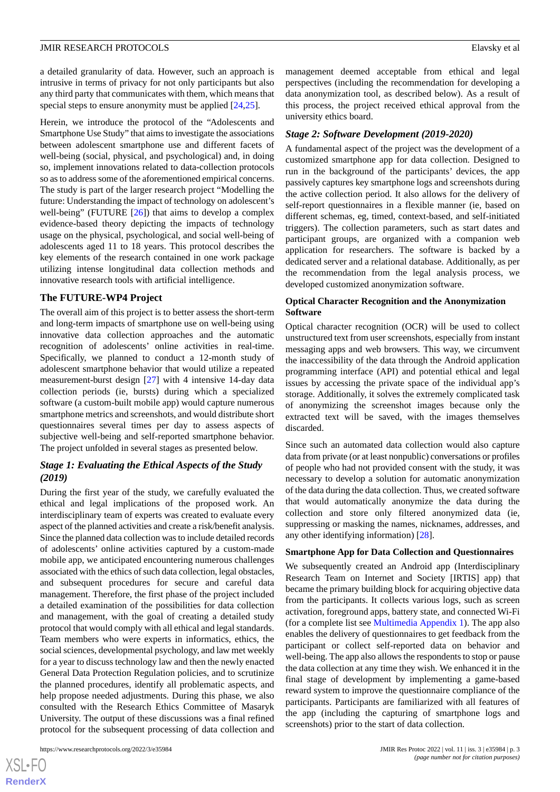a detailed granularity of data. However, such an approach is intrusive in terms of privacy for not only participants but also any third party that communicates with them, which means that special steps to ensure anonymity must be applied  $[24,25]$  $[24,25]$  $[24,25]$ .

Herein, we introduce the protocol of the "Adolescents and Smartphone Use Study" that aims to investigate the associations between adolescent smartphone use and different facets of well-being (social, physical, and psychological) and, in doing so, implement innovations related to data-collection protocols so as to address some of the aforementioned empirical concerns. The study is part of the larger research project "Modelling the future: Understanding the impact of technology on adolescent's well-being" (FUTURE [\[26](#page-9-14)]) that aims to develop a complex evidence-based theory depicting the impacts of technology usage on the physical, psychological, and social well-being of adolescents aged 11 to 18 years. This protocol describes the key elements of the research contained in one work package utilizing intense longitudinal data collection methods and innovative research tools with artificial intelligence.

## **The FUTURE-WP4 Project**

The overall aim of this project is to better assess the short-term and long-term impacts of smartphone use on well-being using innovative data collection approaches and the automatic recognition of adolescents' online activities in real-time. Specifically, we planned to conduct a 12-month study of adolescent smartphone behavior that would utilize a repeated measurement-burst design [\[27](#page-9-15)] with 4 intensive 14-day data collection periods (ie, bursts) during which a specialized software (a custom-built mobile app) would capture numerous smartphone metrics and screenshots, and would distribute short questionnaires several times per day to assess aspects of subjective well-being and self-reported smartphone behavior. The project unfolded in several stages as presented below.

## *Stage 1: Evaluating the Ethical Aspects of the Study (2019)*

During the first year of the study, we carefully evaluated the ethical and legal implications of the proposed work. An interdisciplinary team of experts was created to evaluate every aspect of the planned activities and create a risk/benefit analysis. Since the planned data collection was to include detailed records of adolescents' online activities captured by a custom-made mobile app, we anticipated encountering numerous challenges associated with the ethics of such data collection, legal obstacles, and subsequent procedures for secure and careful data management. Therefore, the first phase of the project included a detailed examination of the possibilities for data collection and management, with the goal of creating a detailed study protocol that would comply with all ethical and legal standards. Team members who were experts in informatics, ethics, the social sciences, developmental psychology, and law met weekly for a year to discuss technology law and then the newly enacted General Data Protection Regulation policies, and to scrutinize the planned procedures, identify all problematic aspects, and help propose needed adjustments. During this phase, we also consulted with the Research Ethics Committee of Masaryk University. The output of these discussions was a final refined protocol for the subsequent processing of data collection and

 $XS$ -FO **[RenderX](http://www.renderx.com/)** management deemed acceptable from ethical and legal perspectives (including the recommendation for developing a data anonymization tool, as described below). As a result of this process, the project received ethical approval from the university ethics board.

#### *Stage 2: Software Development (2019-2020)*

A fundamental aspect of the project was the development of a customized smartphone app for data collection. Designed to run in the background of the participants' devices, the app passively captures key smartphone logs and screenshots during the active collection period. It also allows for the delivery of self-report questionnaires in a flexible manner (ie, based on different schemas, eg, timed, context-based, and self-initiated triggers). The collection parameters, such as start dates and participant groups, are organized with a companion web application for researchers. The software is backed by a dedicated server and a relational database. Additionally, as per the recommendation from the legal analysis process, we developed customized anonymization software.

### **Optical Character Recognition and the Anonymization Software**

Optical character recognition (OCR) will be used to collect unstructured text from user screenshots, especially from instant messaging apps and web browsers. This way, we circumvent the inaccessibility of the data through the Android application programming interface (API) and potential ethical and legal issues by accessing the private space of the individual app's storage. Additionally, it solves the extremely complicated task of anonymizing the screenshot images because only the extracted text will be saved, with the images themselves discarded.

Since such an automated data collection would also capture data from private (or at least nonpublic) conversations or profiles of people who had not provided consent with the study, it was necessary to develop a solution for automatic anonymization of the data during the data collection. Thus, we created software that would automatically anonymize the data during the collection and store only filtered anonymized data (ie, suppressing or masking the names, nicknames, addresses, and any other identifying information) [\[28](#page-9-16)].

#### **Smartphone App for Data Collection and Questionnaires**

We subsequently created an Android app (Interdisciplinary Research Team on Internet and Society [IRTIS] app) that became the primary building block for acquiring objective data from the participants. It collects various logs, such as screen activation, foreground apps, battery state, and connected Wi-Fi (for a complete list see [Multimedia Appendix 1](#page-8-8)). The app also enables the delivery of questionnaires to get feedback from the participant or collect self-reported data on behavior and well-being. The app also allows the respondents to stop or pause the data collection at any time they wish. We enhanced it in the final stage of development by implementing a game-based reward system to improve the questionnaire compliance of the participants. Participants are familiarized with all features of the app (including the capturing of smartphone logs and screenshots) prior to the start of data collection.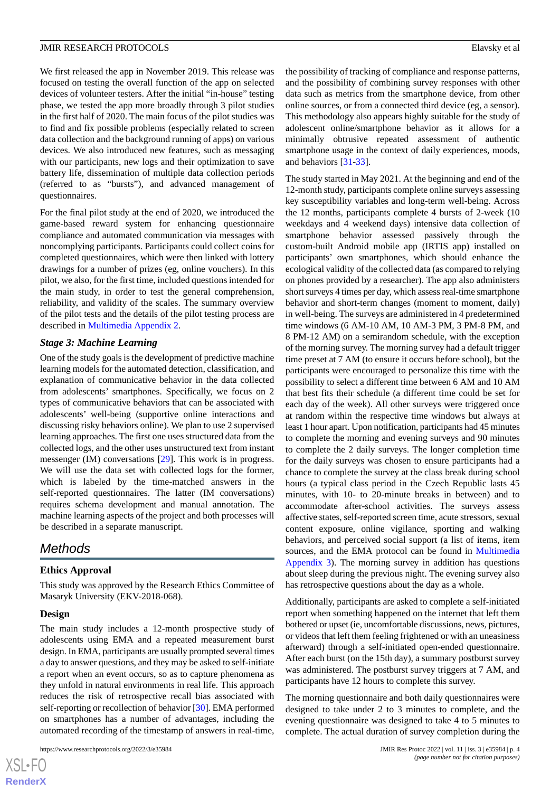We first released the app in November 2019. This release was focused on testing the overall function of the app on selected devices of volunteer testers. After the initial "in-house" testing phase, we tested the app more broadly through 3 pilot studies in the first half of 2020. The main focus of the pilot studies was to find and fix possible problems (especially related to screen data collection and the background running of apps) on various devices. We also introduced new features, such as messaging with our participants, new logs and their optimization to save battery life, dissemination of multiple data collection periods (referred to as "bursts"), and advanced management of questionnaires.

For the final pilot study at the end of 2020, we introduced the game-based reward system for enhancing questionnaire compliance and automated communication via messages with noncomplying participants. Participants could collect coins for completed questionnaires, which were then linked with lottery drawings for a number of prizes (eg, online vouchers). In this pilot, we also, for the first time, included questions intended for the main study, in order to test the general comprehension, reliability, and validity of the scales. The summary overview of the pilot tests and the details of the pilot testing process are described in [Multimedia Appendix 2.](#page-8-9)

#### *Stage 3: Machine Learning*

One of the study goals is the development of predictive machine learning models for the automated detection, classification, and explanation of communicative behavior in the data collected from adolescents' smartphones. Specifically, we focus on 2 types of communicative behaviors that can be associated with adolescents' well-being (supportive online interactions and discussing risky behaviors online). We plan to use 2 supervised learning approaches. The first one uses structured data from the collected logs, and the other uses unstructured text from instant messenger (IM) conversations [[29\]](#page-9-17). This work is in progress. We will use the data set with collected logs for the former, which is labeled by the time-matched answers in the self-reported questionnaires. The latter (IM conversations) requires schema development and manual annotation. The machine learning aspects of the project and both processes will be described in a separate manuscript.

## *Methods*

## **Ethics Approval**

This study was approved by the Research Ethics Committee of Masaryk University (EKV-2018-068).

## **Design**

The main study includes a 12-month prospective study of adolescents using EMA and a repeated measurement burst design. In EMA, participants are usually prompted several times a day to answer questions, and they may be asked to self-initiate a report when an event occurs, so as to capture phenomena as they unfold in natural environments in real life. This approach reduces the risk of retrospective recall bias associated with self-reporting or recollection of behavior [\[30](#page-9-18)]. EMA performed on smartphones has a number of advantages, including the automated recording of the timestamp of answers in real-time,

https://www.researchprotocols.org/2022/3/e35984 JMIR Res Protoc 2022 | vol. 11 | iss. 3 | e35984 | p. 4

the possibility of tracking of compliance and response patterns, and the possibility of combining survey responses with other data such as metrics from the smartphone device, from other online sources, or from a connected third device (eg, a sensor). This methodology also appears highly suitable for the study of adolescent online/smartphone behavior as it allows for a minimally obtrusive repeated assessment of authentic smartphone usage in the context of daily experiences, moods, and behaviors [\[31](#page-9-19)[-33](#page-9-20)].

The study started in May 2021. At the beginning and end of the 12-month study, participants complete online surveys assessing key susceptibility variables and long-term well-being. Across the 12 months, participants complete 4 bursts of 2-week (10 weekdays and 4 weekend days) intensive data collection of smartphone behavior assessed passively through the custom-built Android mobile app (IRTIS app) installed on participants' own smartphones, which should enhance the ecological validity of the collected data (as compared to relying on phones provided by a researcher). The app also administers short surveys 4 times per day, which assess real-time smartphone behavior and short-term changes (moment to moment, daily) in well-being. The surveys are administered in 4 predetermined time windows (6 AM-10 AM, 10 AM-3 PM, 3 PM-8 PM, and 8 PM-12 AM) on a semirandom schedule, with the exception of the morning survey. The morning survey had a default trigger time preset at 7 AM (to ensure it occurs before school), but the participants were encouraged to personalize this time with the possibility to select a different time between 6 AM and 10 AM that best fits their schedule (a different time could be set for each day of the week). All other surveys were triggered once at random within the respective time windows but always at least 1 hour apart. Upon notification, participants had 45 minutes to complete the morning and evening surveys and 90 minutes to complete the 2 daily surveys. The longer completion time for the daily surveys was chosen to ensure participants had a chance to complete the survey at the class break during school hours (a typical class period in the Czech Republic lasts 45 minutes, with 10- to 20-minute breaks in between) and to accommodate after-school activities. The surveys assess affective states, self-reported screen time, acute stressors, sexual content exposure, online vigilance, sporting and walking behaviors, and perceived social support (a list of items, item sources, and the EMA protocol can be found in [Multimedia](#page-8-10) [Appendix 3](#page-8-10)). The morning survey in addition has questions about sleep during the previous night. The evening survey also has retrospective questions about the day as a whole.

Additionally, participants are asked to complete a self-initiated report when something happened on the internet that left them bothered or upset (ie, uncomfortable discussions, news, pictures, or videos that left them feeling frightened or with an uneasiness afterward) through a self-initiated open-ended questionnaire. After each burst (on the 15th day), a summary postburst survey was administered. The postburst survey triggers at 7 AM, and participants have 12 hours to complete this survey.

The morning questionnaire and both daily questionnaires were designed to take under 2 to 3 minutes to complete, and the evening questionnaire was designed to take 4 to 5 minutes to complete. The actual duration of survey completion during the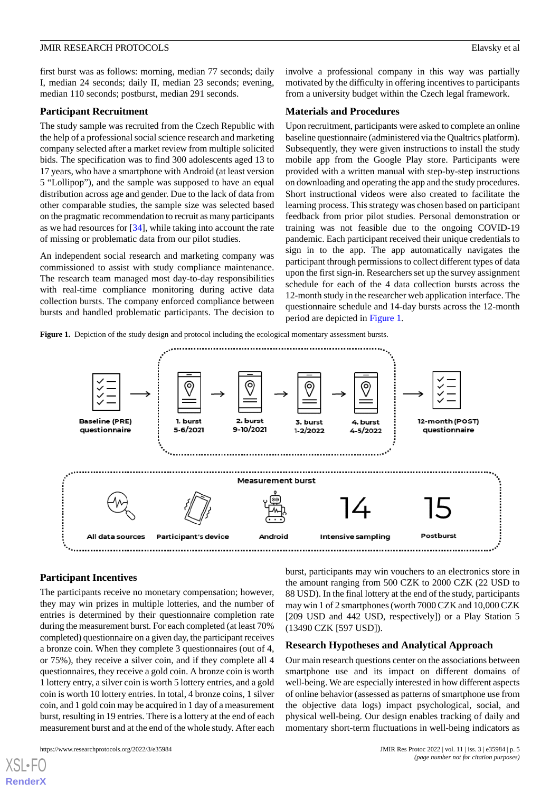first burst was as follows: morning, median 77 seconds; daily I, median 24 seconds; daily II, median 23 seconds; evening, median 110 seconds; postburst, median 291 seconds.

#### **Participant Recruitment**

The study sample was recruited from the Czech Republic with the help of a professional social science research and marketing company selected after a market review from multiple solicited bids. The specification was to find 300 adolescents aged 13 to 17 years, who have a smartphone with Android (at least version 5 "Lollipop"), and the sample was supposed to have an equal distribution across age and gender. Due to the lack of data from other comparable studies, the sample size was selected based on the pragmatic recommendation to recruit as many participants as we had resources for [\[34](#page-9-21)], while taking into account the rate of missing or problematic data from our pilot studies.

An independent social research and marketing company was commissioned to assist with study compliance maintenance. The research team managed most day-to-day responsibilities with real-time compliance monitoring during active data collection bursts. The company enforced compliance between bursts and handled problematic participants. The decision to

involve a professional company in this way was partially motivated by the difficulty in offering incentives to participants from a university budget within the Czech legal framework.

## **Materials and Procedures**

Upon recruitment, participants were asked to complete an online baseline questionnaire (administered via the Qualtrics platform). Subsequently, they were given instructions to install the study mobile app from the Google Play store. Participants were provided with a written manual with step-by-step instructions on downloading and operating the app and the study procedures. Short instructional videos were also created to facilitate the learning process. This strategy was chosen based on participant feedback from prior pilot studies. Personal demonstration or training was not feasible due to the ongoing COVID-19 pandemic. Each participant received their unique credentials to sign in to the app. The app automatically navigates the participant through permissions to collect different types of data upon the first sign-in. Researchers set up the survey assignment schedule for each of the 4 data collection bursts across the 12-month study in the researcher web application interface. The questionnaire schedule and 14-day bursts across the 12-month period are depicted in [Figure 1.](#page-4-0)

<span id="page-4-0"></span>**Figure 1.** Depiction of the study design and protocol including the ecological momentary assessment bursts.



## **Participant Incentives**

The participants receive no monetary compensation; however, they may win prizes in multiple lotteries, and the number of entries is determined by their questionnaire completion rate during the measurement burst. For each completed (at least 70% completed) questionnaire on a given day, the participant receives a bronze coin. When they complete 3 questionnaires (out of 4, or 75%), they receive a silver coin, and if they complete all 4 questionnaires, they receive a gold coin. A bronze coin is worth 1 lottery entry, a silver coin is worth 5 lottery entries, and a gold coin is worth 10 lottery entries. In total, 4 bronze coins, 1 silver coin, and 1 gold coin may be acquired in 1 day of a measurement burst, resulting in 19 entries. There is a lottery at the end of each measurement burst and at the end of the whole study. After each

[XSL](http://www.w3.org/Style/XSL)•FO **[RenderX](http://www.renderx.com/)**

burst, participants may win vouchers to an electronics store in the amount ranging from 500 CZK to 2000 CZK (22 USD to 88 USD). In the final lottery at the end of the study, participants may win 1 of 2 smartphones (worth 7000 CZK and 10,000 CZK [209 USD and 442 USD, respectively]) or a Play Station 5 (13490 CZK [597 USD]).

#### **Research Hypotheses and Analytical Approach**

Our main research questions center on the associations between smartphone use and its impact on different domains of well-being. We are especially interested in how different aspects of online behavior (assessed as patterns of smartphone use from the objective data logs) impact psychological, social, and physical well-being. Our design enables tracking of daily and momentary short-term fluctuations in well-being indicators as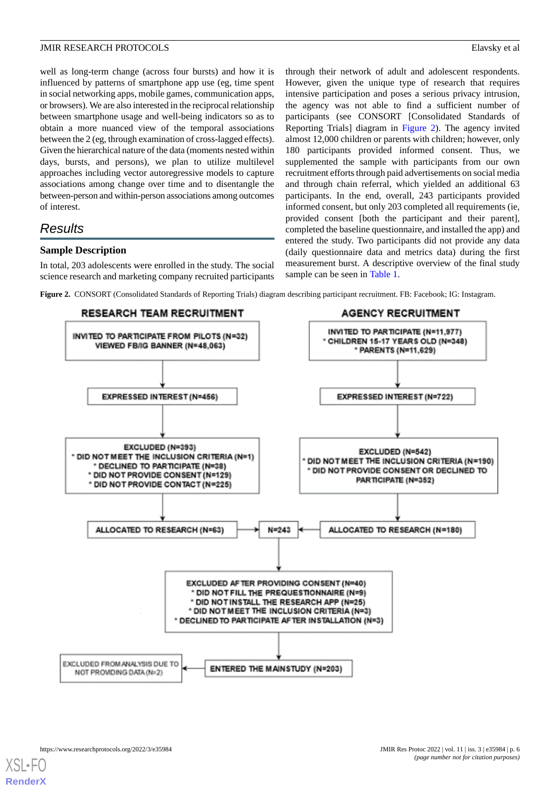well as long-term change (across four bursts) and how it is influenced by patterns of smartphone app use (eg, time spent in social networking apps, mobile games, communication apps, or browsers). We are also interested in the reciprocal relationship between smartphone usage and well-being indicators so as to obtain a more nuanced view of the temporal associations between the 2 (eg, through examination of cross-lagged effects). Given the hierarchical nature of the data (moments nested within days, bursts, and persons), we plan to utilize multilevel approaches including vector autoregressive models to capture associations among change over time and to disentangle the between-person and within-person associations among outcomes of interest.

## *Results*

## **Sample Description**

<span id="page-5-0"></span>In total, 203 adolescents were enrolled in the study. The social science research and marketing company recruited participants

through their network of adult and adolescent respondents. However, given the unique type of research that requires intensive participation and poses a serious privacy intrusion, the agency was not able to find a sufficient number of participants (see CONSORT [Consolidated Standards of Reporting Trials] diagram in [Figure 2\)](#page-5-0). The agency invited almost 12,000 children or parents with children; however, only 180 participants provided informed consent. Thus, we supplemented the sample with participants from our own recruitment efforts through paid advertisements on social media and through chain referral, which yielded an additional 63 participants. In the end, overall, 243 participants provided informed consent, but only 203 completed all requirements (ie, provided consent [both the participant and their parent], completed the baseline questionnaire, and installed the app) and entered the study. Two participants did not provide any data (daily questionnaire data and metrics data) during the first measurement burst. A descriptive overview of the final study sample can be seen in [Table 1.](#page-6-0)

**Figure 2.** CONSORT (Consolidated Standards of Reporting Trials) diagram describing participant recruitment. FB: Facebook; IG: Instagram.

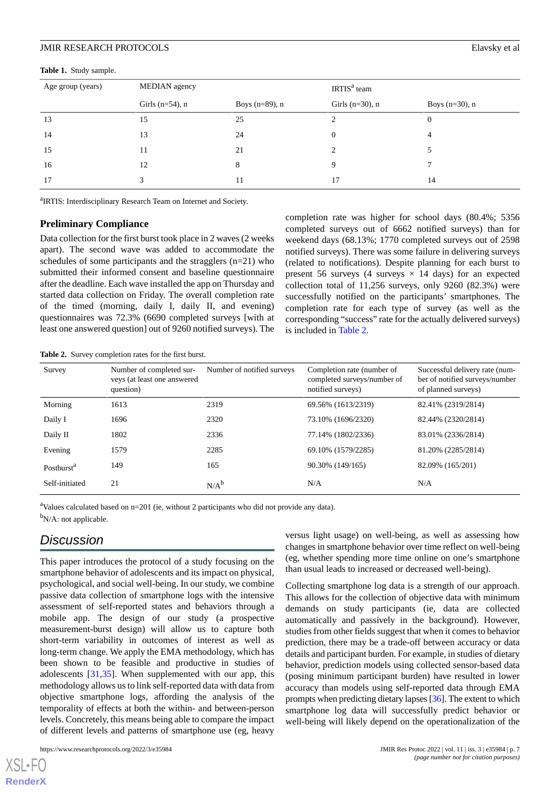<span id="page-6-0"></span>**Table 1.** Study sample.

| Age group (years) | MEDIAN agency       |                   | IRTIS <sup>a</sup> team |                   |  |  |  |  |
|-------------------|---------------------|-------------------|-------------------------|-------------------|--|--|--|--|
|                   | Girls ( $n=54$ ), n | Boys $(n=89)$ , n | Girls $(n=30)$ , n      | Boys $(n=30)$ , n |  |  |  |  |
| 13                | 15                  | 25                |                         | $\theta$          |  |  |  |  |
| 14                | 13                  | 24                | $\overline{0}$          | 4                 |  |  |  |  |
| 15                | 11                  | 21                |                         |                   |  |  |  |  |
| 16                | 12                  | 8                 | 9                       |                   |  |  |  |  |
| 17                |                     | 11                | 17                      | 14                |  |  |  |  |
|                   |                     |                   |                         |                   |  |  |  |  |

<sup>a</sup>IRTIS: Interdisciplinary Research Team on Internet and Society.

## **Preliminary Compliance**

Data collection for the first burst took place in 2 waves (2 weeks apart). The second wave was added to accommodate the schedules of some participants and the stragglers (n=21) who submitted their informed consent and baseline questionnaire after the deadline. Each wave installed the app on Thursday and started data collection on Friday. The overall completion rate of the timed (morning, daily I, daily II, and evening) questionnaires was 72.3% (6690 completed surveys [with at least one answered question] out of 9260 notified surveys). The

completion rate was higher for school days (80.4%; 5356 completed surveys out of 6662 notified surveys) than for weekend days (68.13%; 1770 completed surveys out of 2598 notified surveys). There was some failure in delivering surveys (related to notifications). Despite planning for each burst to present 56 surveys (4 surveys  $\times$  14 days) for an expected collection total of 11,256 surveys, only 9260 (82.3%) were successfully notified on the participants' smartphones. The completion rate for each type of survey (as well as the corresponding "success" rate for the actually delivered surveys) is included in [Table 2.](#page-6-1)

<span id="page-6-1"></span>**Table 2.** Survey completion rates for the first burst.

| Survey                 | Number of completed sur-<br>veys (at least one answered<br>question) | Number of notified surveys | Completion rate (number of<br>completed surveys/number of<br>notified surveys) | Successful delivery rate (num-<br>ber of notified surveys/number<br>of planned surveys) |
|------------------------|----------------------------------------------------------------------|----------------------------|--------------------------------------------------------------------------------|-----------------------------------------------------------------------------------------|
| Morning                | 1613                                                                 | 2319                       | 69.56% (1613/2319)                                                             | 82.41% (2319/2814)                                                                      |
| Daily I                | 1696                                                                 | 2320                       | 73.10% (1696/2320)                                                             | 82.44% (2320/2814)                                                                      |
| Daily II               | 1802                                                                 | 2336                       | 77.14% (1802/2336)                                                             | 83.01% (2336/2814)                                                                      |
| Evening                | 1579                                                                 | 2285                       | 69.10% (1579/2285)                                                             | 81.20% (2285/2814)                                                                      |
| Postburst <sup>a</sup> | 149                                                                  | 165                        | 90.30% (149/165)                                                               | 82.09% (165/201)                                                                        |
| Self-initiated         | 21                                                                   | $N/A^b$                    | N/A                                                                            | N/A                                                                                     |

<sup>a</sup>Values calculated based on  $n=201$  (ie, without 2 participants who did not provide any data).

<sup>b</sup>N/A: not applicable.

## *Discussion*

This paper introduces the protocol of a study focusing on the smartphone behavior of adolescents and its impact on physical. psychological, and social well-being. In our study, we combine passive data collection of smartphone logs with the intensive assessment of self-reported states and behaviors through a mobile app. The design of our study (a prospective measurement-burst design) will allow us to capture both short-term variability in outcomes of interest as well as long-term change. We apply the EMA methodology, which has been shown to be feasible and productive in studies of adolescents [\[31](#page-9-19),[35\]](#page-9-22). When supplemented with our app, this methodology allows us to link self-reported data with data from objective smartphone logs, affording the analysis of the temporality of effects at both the within- and between-person levels. Concretely, this means being able to compare the impact of different levels and patterns of smartphone use (eg, heavy

[XSL](http://www.w3.org/Style/XSL)•FO **[RenderX](http://www.renderx.com/)** versus light usage) on well-being, as well as assessing how changes in smartphone behavior over time reflect on well-being (eg, whether spending more time online on one's smartphone than usual leads to increased or decreased well-being).

Collecting smartphone log data is a strength of our approach. This allows for the collection of objective data with minimum demands on study participants (ie, data are collected automatically and passively in the background). However, studies from other fields suggest that when it comes to behavior prediction, there may be a trade-off between accuracy or data details and participant burden. For example, in studies of dietary behavior, prediction models using collected sensor-based data (posing minimum participant burden) have resulted in lower accuracy than models using self-reported data through EMA prompts when predicting dietary lapses [[36](#page-10-0)]. The extent to which smartphone log data will successfully predict behavior or well-being will likely depend on the operationalization of the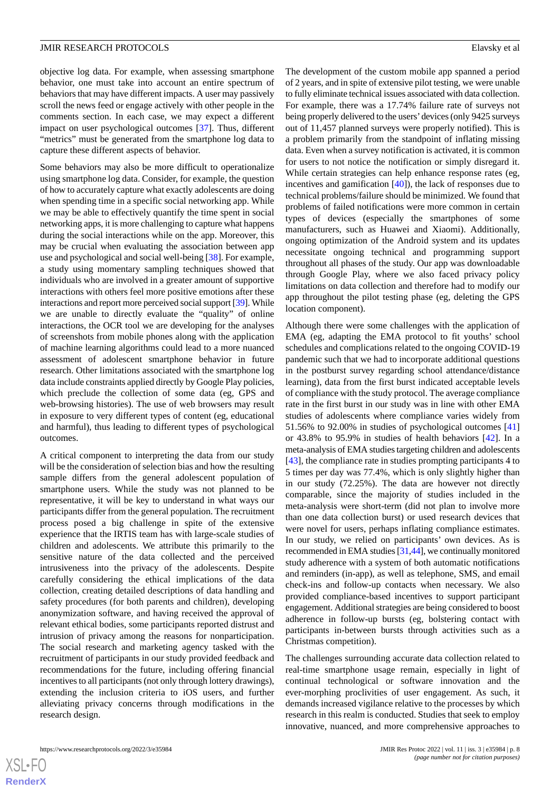objective log data. For example, when assessing smartphone behavior, one must take into account an entire spectrum of behaviors that may have different impacts. A user may passively scroll the news feed or engage actively with other people in the comments section. In each case, we may expect a different impact on user psychological outcomes [[37\]](#page-10-1). Thus, different "metrics" must be generated from the smartphone log data to capture these different aspects of behavior.

Some behaviors may also be more difficult to operationalize using smartphone log data. Consider, for example, the question of how to accurately capture what exactly adolescents are doing when spending time in a specific social networking app. While we may be able to effectively quantify the time spent in social networking apps, it is more challenging to capture what happens during the social interactions while on the app. Moreover, this may be crucial when evaluating the association between app use and psychological and social well-being [[38\]](#page-10-2). For example, a study using momentary sampling techniques showed that individuals who are involved in a greater amount of supportive interactions with others feel more positive emotions after these interactions and report more perceived social support [\[39](#page-10-3)]. While we are unable to directly evaluate the "quality" of online interactions, the OCR tool we are developing for the analyses of screenshots from mobile phones along with the application of machine learning algorithms could lead to a more nuanced assessment of adolescent smartphone behavior in future research. Other limitations associated with the smartphone log data include constraints applied directly by Google Play policies, which preclude the collection of some data (eg, GPS and web-browsing histories). The use of web browsers may result in exposure to very different types of content (eg, educational and harmful), thus leading to different types of psychological outcomes.

A critical component to interpreting the data from our study will be the consideration of selection bias and how the resulting sample differs from the general adolescent population of smartphone users. While the study was not planned to be representative, it will be key to understand in what ways our participants differ from the general population. The recruitment process posed a big challenge in spite of the extensive experience that the IRTIS team has with large-scale studies of children and adolescents. We attribute this primarily to the sensitive nature of the data collected and the perceived intrusiveness into the privacy of the adolescents. Despite carefully considering the ethical implications of the data collection, creating detailed descriptions of data handling and safety procedures (for both parents and children), developing anonymization software, and having received the approval of relevant ethical bodies, some participants reported distrust and intrusion of privacy among the reasons for nonparticipation. The social research and marketing agency tasked with the recruitment of participants in our study provided feedback and recommendations for the future, including offering financial incentives to all participants (not only through lottery drawings), extending the inclusion criteria to iOS users, and further alleviating privacy concerns through modifications in the research design.

The development of the custom mobile app spanned a period of 2 years, and in spite of extensive pilot testing, we were unable to fully eliminate technical issues associated with data collection. For example, there was a 17.74% failure rate of surveys not being properly delivered to the users'devices (only 9425 surveys out of 11,457 planned surveys were properly notified). This is a problem primarily from the standpoint of inflating missing data. Even when a survey notification is activated, it is common for users to not notice the notification or simply disregard it. While certain strategies can help enhance response rates (eg, incentives and gamification [[40\]](#page-10-4)), the lack of responses due to technical problems/failure should be minimized. We found that problems of failed notifications were more common in certain types of devices (especially the smartphones of some manufacturers, such as Huawei and Xiaomi). Additionally, ongoing optimization of the Android system and its updates necessitate ongoing technical and programming support throughout all phases of the study. Our app was downloadable through Google Play, where we also faced privacy policy limitations on data collection and therefore had to modify our app throughout the pilot testing phase (eg, deleting the GPS location component).

Although there were some challenges with the application of EMA (eg, adapting the EMA protocol to fit youths' school schedules and complications related to the ongoing COVID-19 pandemic such that we had to incorporate additional questions in the postburst survey regarding school attendance/distance learning), data from the first burst indicated acceptable levels of compliance with the study protocol. The average compliance rate in the first burst in our study was in line with other EMA studies of adolescents where compliance varies widely from 51.56% to 92.00% in studies of psychological outcomes [\[41](#page-10-5)] or 43.8% to 95.9% in studies of health behaviors [\[42](#page-10-6)]. In a meta-analysis of EMA studies targeting children and adolescents [[43\]](#page-10-7), the compliance rate in studies prompting participants 4 to 5 times per day was 77.4%, which is only slightly higher than in our study (72.25%). The data are however not directly comparable, since the majority of studies included in the meta-analysis were short-term (did not plan to involve more than one data collection burst) or used research devices that were novel for users, perhaps inflating compliance estimates. In our study, we relied on participants' own devices. As is recommended in EMA studies [\[31](#page-9-19)[,44](#page-10-8)], we continually monitored study adherence with a system of both automatic notifications and reminders (in-app), as well as telephone, SMS, and email check-ins and follow-up contacts when necessary. We also provided compliance-based incentives to support participant engagement. Additional strategies are being considered to boost adherence in follow-up bursts (eg, bolstering contact with participants in-between bursts through activities such as a Christmas competition).

The challenges surrounding accurate data collection related to real-time smartphone usage remain, especially in light of continual technological or software innovation and the ever-morphing proclivities of user engagement. As such, it demands increased vigilance relative to the processes by which research in this realm is conducted. Studies that seek to employ innovative, nuanced, and more comprehensive approaches to

 $XS$  • FC **[RenderX](http://www.renderx.com/)**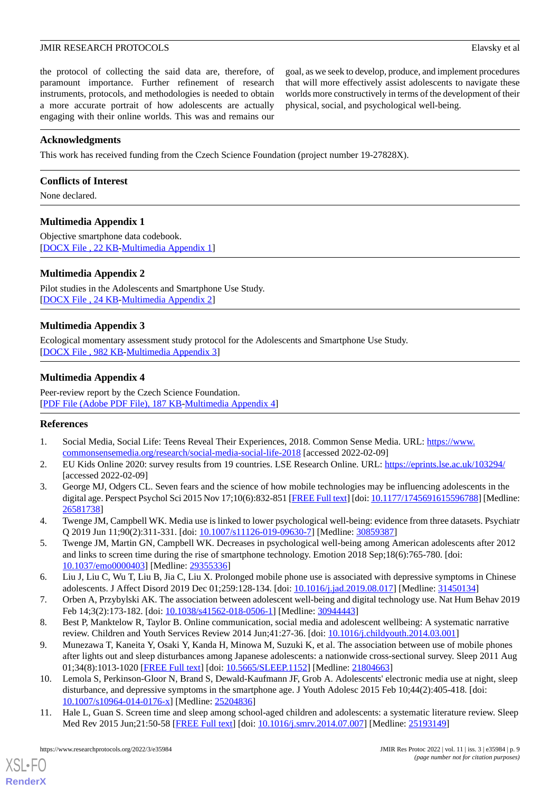the protocol of collecting the said data are, therefore, of paramount importance. Further refinement of research instruments, protocols, and methodologies is needed to obtain a more accurate portrait of how adolescents are actually engaging with their online worlds. This was and remains our

goal, as we seek to develop, produce, and implement procedures that will more effectively assist adolescents to navigate these worlds more constructively in terms of the development of their physical, social, and psychological well-being.

## **Acknowledgments**

This work has received funding from the Czech Science Foundation (project number 19-27828X).

## **Conflicts of Interest**

<span id="page-8-8"></span>None declared.

## **Multimedia Appendix 1**

<span id="page-8-9"></span>Objective smartphone data codebook. [[DOCX File , 22 KB](https://jmir.org/api/download?alt_name=resprot_v11i3e35984_app1.docx&filename=ba76392bac58d46c28e444c26c209b03.docx)-[Multimedia Appendix 1\]](https://jmir.org/api/download?alt_name=resprot_v11i3e35984_app1.docx&filename=ba76392bac58d46c28e444c26c209b03.docx)

## **Multimedia Appendix 2**

<span id="page-8-10"></span>Pilot studies in the Adolescents and Smartphone Use Study. [[DOCX File , 24 KB](https://jmir.org/api/download?alt_name=resprot_v11i3e35984_app2.docx&filename=fb9b5e483ccaab510b4e52d4514e678a.docx)-[Multimedia Appendix 2\]](https://jmir.org/api/download?alt_name=resprot_v11i3e35984_app2.docx&filename=fb9b5e483ccaab510b4e52d4514e678a.docx)

## **Multimedia Appendix 3**

Ecological momentary assessment study protocol for the Adolescents and Smartphone Use Study. [[DOCX File , 982 KB-Multimedia Appendix 3\]](https://jmir.org/api/download?alt_name=resprot_v11i3e35984_app3.docx&filename=895c6c82ce25c99a36b8757b69fb00fa.docx)

## **Multimedia Appendix 4**

<span id="page-8-0"></span>Peer-review report by the Czech Science Foundation. [[PDF File \(Adobe PDF File\), 187 KB](https://jmir.org/api/download?alt_name=resprot_v11i3e35984_app4.pdf&filename=94e2462b8a0bb25a27cba8e15ed6fd98.pdf)-[Multimedia Appendix 4\]](https://jmir.org/api/download?alt_name=resprot_v11i3e35984_app4.pdf&filename=94e2462b8a0bb25a27cba8e15ed6fd98.pdf)

## <span id="page-8-1"></span>**References**

- <span id="page-8-2"></span>1. Social Media, Social Life: Teens Reveal Their Experiences, 2018. Common Sense Media. URL: [https://www.](https://www.commonsensemedia.org/research/social-media-social-life-2018) [commonsensemedia.org/research/social-media-social-life-2018](https://www.commonsensemedia.org/research/social-media-social-life-2018) [accessed 2022-02-09]
- <span id="page-8-3"></span>2. EU Kids Online 2020: survey results from 19 countries. LSE Research Online. URL:<https://eprints.lse.ac.uk/103294/> [accessed 2022-02-09]
- 3. George MJ, Odgers CL. Seven fears and the science of how mobile technologies may be influencing adolescents in the digital age. Perspect Psychol Sci 2015 Nov 17;10(6):832-851 [\[FREE Full text\]](http://europepmc.org/abstract/MED/26581738) [doi: [10.1177/1745691615596788\]](http://dx.doi.org/10.1177/1745691615596788) [Medline: [26581738](http://www.ncbi.nlm.nih.gov/entrez/query.fcgi?cmd=Retrieve&db=PubMed&list_uids=26581738&dopt=Abstract)]
- <span id="page-8-4"></span>4. Twenge JM, Campbell WK. Media use is linked to lower psychological well-being: evidence from three datasets. Psychiatr Q 2019 Jun 11;90(2):311-331. [doi: [10.1007/s11126-019-09630-7](http://dx.doi.org/10.1007/s11126-019-09630-7)] [Medline: [30859387](http://www.ncbi.nlm.nih.gov/entrez/query.fcgi?cmd=Retrieve&db=PubMed&list_uids=30859387&dopt=Abstract)]
- <span id="page-8-6"></span><span id="page-8-5"></span>5. Twenge JM, Martin GN, Campbell WK. Decreases in psychological well-being among American adolescents after 2012 and links to screen time during the rise of smartphone technology. Emotion 2018 Sep;18(6):765-780. [doi: [10.1037/emo0000403](http://dx.doi.org/10.1037/emo0000403)] [Medline: [29355336\]](http://www.ncbi.nlm.nih.gov/entrez/query.fcgi?cmd=Retrieve&db=PubMed&list_uids=29355336&dopt=Abstract)
- <span id="page-8-7"></span>6. Liu J, Liu C, Wu T, Liu B, Jia C, Liu X. Prolonged mobile phone use is associated with depressive symptoms in Chinese adolescents. J Affect Disord 2019 Dec 01;259:128-134. [doi: [10.1016/j.jad.2019.08.017](http://dx.doi.org/10.1016/j.jad.2019.08.017)] [Medline: [31450134\]](http://www.ncbi.nlm.nih.gov/entrez/query.fcgi?cmd=Retrieve&db=PubMed&list_uids=31450134&dopt=Abstract)
- 7. Orben A, Przybylski AK. The association between adolescent well-being and digital technology use. Nat Hum Behav 2019 Feb 14;3(2):173-182. [doi: [10.1038/s41562-018-0506-1](http://dx.doi.org/10.1038/s41562-018-0506-1)] [Medline: [30944443\]](http://www.ncbi.nlm.nih.gov/entrez/query.fcgi?cmd=Retrieve&db=PubMed&list_uids=30944443&dopt=Abstract)
- 8. Best P, Manktelow R, Taylor B. Online communication, social media and adolescent wellbeing: A systematic narrative review. Children and Youth Services Review 2014 Jun;41:27-36. [doi: [10.1016/j.childyouth.2014.03.001\]](http://dx.doi.org/10.1016/j.childyouth.2014.03.001)
- 9. Munezawa T, Kaneita Y, Osaki Y, Kanda H, Minowa M, Suzuki K, et al. The association between use of mobile phones after lights out and sleep disturbances among Japanese adolescents: a nationwide cross-sectional survey. Sleep 2011 Aug 01;34(8):1013-1020 [[FREE Full text](http://europepmc.org/abstract/MED/21804663)] [doi: [10.5665/SLEEP.1152\]](http://dx.doi.org/10.5665/SLEEP.1152) [Medline: [21804663](http://www.ncbi.nlm.nih.gov/entrez/query.fcgi?cmd=Retrieve&db=PubMed&list_uids=21804663&dopt=Abstract)]
- 10. Lemola S, Perkinson-Gloor N, Brand S, Dewald-Kaufmann JF, Grob A. Adolescents' electronic media use at night, sleep disturbance, and depressive symptoms in the smartphone age. J Youth Adolesc 2015 Feb 10;44(2):405-418. [doi: [10.1007/s10964-014-0176-x\]](http://dx.doi.org/10.1007/s10964-014-0176-x) [Medline: [25204836](http://www.ncbi.nlm.nih.gov/entrez/query.fcgi?cmd=Retrieve&db=PubMed&list_uids=25204836&dopt=Abstract)]
- 11. Hale L, Guan S. Screen time and sleep among school-aged children and adolescents: a systematic literature review. Sleep Med Rev 2015 Jun;21:50-58 [[FREE Full text](http://europepmc.org/abstract/MED/25193149)] [doi: [10.1016/j.smrv.2014.07.007\]](http://dx.doi.org/10.1016/j.smrv.2014.07.007) [Medline: [25193149\]](http://www.ncbi.nlm.nih.gov/entrez/query.fcgi?cmd=Retrieve&db=PubMed&list_uids=25193149&dopt=Abstract)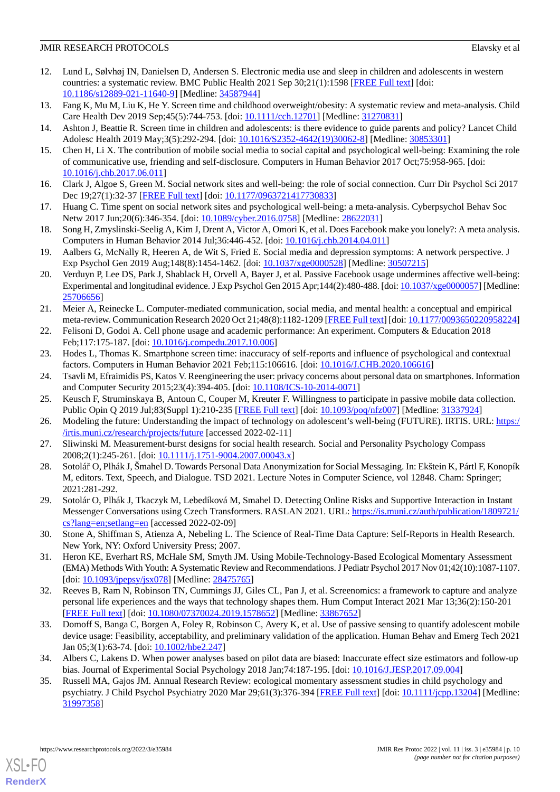- <span id="page-9-0"></span>12. Lund L, Sølvhøj IN, Danielsen D, Andersen S. Electronic media use and sleep in children and adolescents in western countries: a systematic review. BMC Public Health 2021 Sep 30;21(1):1598 [\[FREE Full text\]](https://bmcpublichealth.biomedcentral.com/articles/10.1186/s12889-021-11640-9) [doi: [10.1186/s12889-021-11640-9\]](http://dx.doi.org/10.1186/s12889-021-11640-9) [Medline: [34587944\]](http://www.ncbi.nlm.nih.gov/entrez/query.fcgi?cmd=Retrieve&db=PubMed&list_uids=34587944&dopt=Abstract)
- <span id="page-9-2"></span><span id="page-9-1"></span>13. Fang K, Mu M, Liu K, He Y. Screen time and childhood overweight/obesity: A systematic review and meta-analysis. Child Care Health Dev 2019 Sep; 45(5): 744-753. [doi: [10.1111/cch.12701](http://dx.doi.org/10.1111/cch.12701)] [Medline: [31270831\]](http://www.ncbi.nlm.nih.gov/entrez/query.fcgi?cmd=Retrieve&db=PubMed&list_uids=31270831&dopt=Abstract)
- <span id="page-9-3"></span>14. Ashton J, Beattie R. Screen time in children and adolescents: is there evidence to guide parents and policy? Lancet Child Adolesc Health 2019 May;3(5):292-294. [doi: [10.1016/S2352-4642\(19\)30062-8\]](http://dx.doi.org/10.1016/S2352-4642(19)30062-8) [Medline: [30853301\]](http://www.ncbi.nlm.nih.gov/entrez/query.fcgi?cmd=Retrieve&db=PubMed&list_uids=30853301&dopt=Abstract)
- <span id="page-9-4"></span>15. Chen H, Li X. The contribution of mobile social media to social capital and psychological well-being: Examining the role of communicative use, friending and self-disclosure. Computers in Human Behavior 2017 Oct;75:958-965. [doi: [10.1016/j.chb.2017.06.011\]](http://dx.doi.org/10.1016/j.chb.2017.06.011)
- <span id="page-9-5"></span>16. Clark J, Algoe S, Green M. Social network sites and well-being: the role of social connection. Curr Dir Psychol Sci 2017 Dec 19;27(1):32-37 [[FREE Full text\]](https://doi.org/101177/0963721417730833) [doi: [10.1177/0963721417730833](http://dx.doi.org/10.1177/0963721417730833)]
- <span id="page-9-6"></span>17. Huang C. Time spent on social network sites and psychological well-being: a meta-analysis. Cyberpsychol Behav Soc Netw 2017 Jun;20(6):346-354. [doi: [10.1089/cyber.2016.0758\]](http://dx.doi.org/10.1089/cyber.2016.0758) [Medline: [28622031\]](http://www.ncbi.nlm.nih.gov/entrez/query.fcgi?cmd=Retrieve&db=PubMed&list_uids=28622031&dopt=Abstract)
- <span id="page-9-7"></span>18. Song H, Zmyslinski-Seelig A, Kim J, Drent A, Victor A, Omori K, et al. Does Facebook make you lonely?: A meta analysis. Computers in Human Behavior 2014 Jul;36:446-452. [doi: [10.1016/j.chb.2014.04.011\]](http://dx.doi.org/10.1016/j.chb.2014.04.011)
- <span id="page-9-8"></span>19. Aalbers G, McNally R, Heeren A, de Wit S, Fried E. Social media and depression symptoms: A network perspective. J Exp Psychol Gen 2019 Aug;148(8):1454-1462. [doi: [10.1037/xge0000528\]](http://dx.doi.org/10.1037/xge0000528) [Medline: [30507215\]](http://www.ncbi.nlm.nih.gov/entrez/query.fcgi?cmd=Retrieve&db=PubMed&list_uids=30507215&dopt=Abstract)
- <span id="page-9-9"></span>20. Verduyn P, Lee DS, Park J, Shablack H, Orvell A, Bayer J, et al. Passive Facebook usage undermines affective well-being: Experimental and longitudinal evidence. J Exp Psychol Gen 2015 Apr; 144(2):480-488. [doi: [10.1037/xge0000057\]](http://dx.doi.org/10.1037/xge0000057) [Medline: [25706656](http://www.ncbi.nlm.nih.gov/entrez/query.fcgi?cmd=Retrieve&db=PubMed&list_uids=25706656&dopt=Abstract)]
- <span id="page-9-11"></span><span id="page-9-10"></span>21. Meier A, Reinecke L. Computer-mediated communication, social media, and mental health: a conceptual and empirical meta-review. Communication Research 2020 Oct 21;48(8):1182-1209 [[FREE Full text](https://doi.org/101177/0093650220958224)] [doi: [10.1177/0093650220958224](http://dx.doi.org/10.1177/0093650220958224)]
- <span id="page-9-12"></span>22. Felisoni D, Godoi A. Cell phone usage and academic performance: An experiment. Computers & Education 2018 Feb;117:175-187. [doi: [10.1016/j.compedu.2017.10.006\]](http://dx.doi.org/10.1016/j.compedu.2017.10.006)
- <span id="page-9-13"></span>23. Hodes L, Thomas K. Smartphone screen time: inaccuracy of self-reports and influence of psychological and contextual factors. Computers in Human Behavior 2021 Feb;115:106616. [doi: [10.1016/J.CHB.2020.106616\]](http://dx.doi.org/10.1016/J.CHB.2020.106616)
- <span id="page-9-14"></span>24. Tsavli M, Efraimidis PS, Katos V. Reengineering the user: privacy concerns about personal data on smartphones. Information and Computer Security 2015;23(4):394-405. [doi: [10.1108/ICS-10-2014-0071\]](http://dx.doi.org/10.1108/ICS-10-2014-0071)
- <span id="page-9-15"></span>25. Keusch F, Struminskaya B, Antoun C, Couper M, Kreuter F. Willingness to participate in passive mobile data collection. Public Opin Q 2019 Jul;83(Suppl 1):210-235 [\[FREE Full text\]](http://europepmc.org/abstract/MED/31337924) [doi: [10.1093/poq/nfz007\]](http://dx.doi.org/10.1093/poq/nfz007) [Medline: [31337924](http://www.ncbi.nlm.nih.gov/entrez/query.fcgi?cmd=Retrieve&db=PubMed&list_uids=31337924&dopt=Abstract)]
- <span id="page-9-16"></span>26. Modeling the future: Understanding the impact of technology on adolescent's well-being (FUTURE). IRTIS. URL: [https:/](https://irtis.muni.cz/research/projects/future) [/irtis.muni.cz/research/projects/future](https://irtis.muni.cz/research/projects/future) [accessed 2022-02-11]
- <span id="page-9-17"></span>27. Sliwinski M. Measurement-burst designs for social health research. Social and Personality Psychology Compass 2008;2(1):245-261. [doi: [10.1111/j.1751-9004.2007.00043.x\]](http://dx.doi.org/10.1111/j.1751-9004.2007.00043.x)
- <span id="page-9-18"></span>28. Sotolář O, Plhák J, Šmahel D. Towards Personal Data Anonymization for Social Messaging. In: Ekštein K, Pártl F, Konopík M, editors. Text, Speech, and Dialogue. TSD 2021. Lecture Notes in Computer Science, vol 12848. Cham: Springer; 2021:281-292.
- <span id="page-9-19"></span>29. Sotolár O, Plhák J, Tkaczyk M, Lebedíková M, Smahel D. Detecting Online Risks and Supportive Interaction in Instant Messenger Conversations using Czech Transformers. RASLAN 2021. URL: [https://is.muni.cz/auth/publication/1809721/](https://is.muni.cz/auth/publication/1809721/cs?lang=en;setlang=en) [cs?lang=en;setlang=en](https://is.muni.cz/auth/publication/1809721/cs?lang=en;setlang=en) [accessed 2022-02-09]
- 30. Stone A, Shiffman S, Atienza A, Nebeling L. The Science of Real-Time Data Capture: Self-Reports in Health Research. New York, NY: Oxford University Press; 2007.
- <span id="page-9-20"></span>31. Heron KE, Everhart RS, McHale SM, Smyth JM. Using Mobile-Technology-Based Ecological Momentary Assessment (EMA) Methods With Youth: A Systematic Review and Recommendations. J Pediatr Psychol 2017 Nov 01;42(10):1087-1107. [doi: [10.1093/jpepsy/jsx078\]](http://dx.doi.org/10.1093/jpepsy/jsx078) [Medline: [28475765](http://www.ncbi.nlm.nih.gov/entrez/query.fcgi?cmd=Retrieve&db=PubMed&list_uids=28475765&dopt=Abstract)]
- <span id="page-9-21"></span>32. Reeves B, Ram N, Robinson TN, Cummings JJ, Giles CL, Pan J, et al. Screenomics: a framework to capture and analyze personal life experiences and the ways that technology shapes them. Hum Comput Interact 2021 Mar 13;36(2):150-201 [[FREE Full text](http://europepmc.org/abstract/MED/33867652)] [doi: [10.1080/07370024.2019.1578652\]](http://dx.doi.org/10.1080/07370024.2019.1578652) [Medline: [33867652](http://www.ncbi.nlm.nih.gov/entrez/query.fcgi?cmd=Retrieve&db=PubMed&list_uids=33867652&dopt=Abstract)]
- <span id="page-9-22"></span>33. Domoff S, Banga C, Borgen A, Foley R, Robinson C, Avery K, et al. Use of passive sensing to quantify adolescent mobile device usage: Feasibility, acceptability, and preliminary validation of the application. Human Behav and Emerg Tech 2021 Jan 05;3(1):63-74. [doi: [10.1002/hbe2.247](http://dx.doi.org/10.1002/hbe2.247)]
- 34. Albers C, Lakens D. When power analyses based on pilot data are biased: Inaccurate effect size estimators and follow-up bias. Journal of Experimental Social Psychology 2018 Jan;74:187-195. [doi: [10.1016/J.JESP.2017.09.004\]](http://dx.doi.org/10.1016/J.JESP.2017.09.004)
- 35. Russell MA, Gajos JM. Annual Research Review: ecological momentary assessment studies in child psychology and psychiatry. J Child Psychol Psychiatry 2020 Mar 29;61(3):376-394 [\[FREE Full text](http://europepmc.org/abstract/MED/31997358)] [doi: [10.1111/jcpp.13204\]](http://dx.doi.org/10.1111/jcpp.13204) [Medline: [31997358](http://www.ncbi.nlm.nih.gov/entrez/query.fcgi?cmd=Retrieve&db=PubMed&list_uids=31997358&dopt=Abstract)]